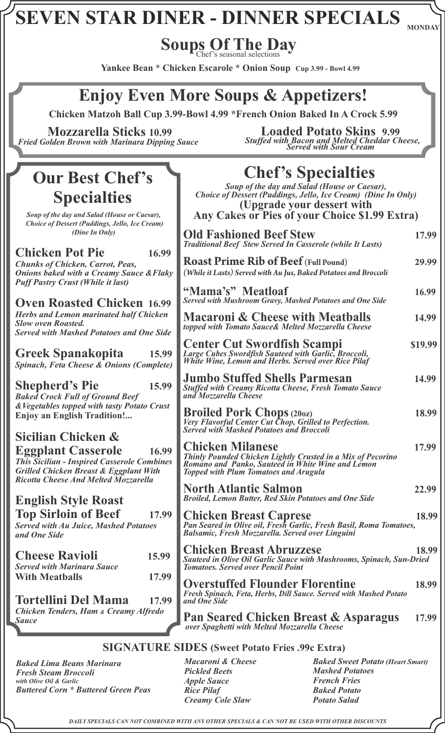**Soups Of The Day** Chef's seasonal selections

**Yankee Bean \* Chicken Escarole \* Onion Soup Cup 3.99 - Bowl 4.99**

### **Enjoy Even More Soups & Appetizers!**

 **Chicken Matzoh Ball Cup 3.99-Bowl 4.99 \*French Onion Baked In A Crock 5.99**

 **Mozzarella Sticks 10.99** *Fried Golden Brown with Marinara Dipping Sauce*

### **Our Best Chef's Specialties**

*Soup of the day and Salad (House or Caesar), Choice of Dessert (Puddings, Jello, Ice Cream) (Dine In Only)*

| <b>Chicken Pot Pie</b>                              | 16.99 |
|-----------------------------------------------------|-------|
| <b>Chunks of Chicken, Carrot, Peas,</b>             |       |
| <b>Onions baked with a Creamy Sauce &amp; Flaky</b> |       |
| <b>Puff Pastry Crust (While it last)</b>            |       |

**Oven Roasted Chicken 16.9** *Herbs and Lemon marinated half Chicken Slow oven Roasted.*  **Served with Mashed Potatoes and One Side** 

**Greek Spanakopita 15.99** *Spinach, Feta Cheese & Onions (Comple* 

**Shepherd's Pie 15.99** *Baked Crock Full of Ground Beef*   $\&V$ egetables topped with tasty Potato Crust **Enjoy an English Tradition!...**

**Sicilian Chicken & Eggplant Casserole****16.99 This Sicilian - Inspired Casserole Combin** *Grilled Chicken Breast & Eggplant With Ricotta Cheese And Melted Mozzarella*

#### **English Style Roast Top Sirloin of Beef 17.99**

*Served with Au Juice, Mashed Potatoes and One Side* 

| <b>Cheese Ravioli</b>             | 15.99 |
|-----------------------------------|-------|
| <b>Served with Marinara Sauce</b> |       |
| <b>With Meathalls</b>             | 17.99 |

**Tortellini Del Mama 17.99** *Chicken Tenders, Ham & Creamy Alfredo Sauce* 

**Loaded Potato Skins 9.99** *Stuffed with Bacon and Melted Cheddar Cheese, Served with Sour Cream*

# **Chef's Specialties**

*Soup of the day and Salad (House or Caesar), Choice of Dessert (Puddings, Jello, Ice Cream) (Dine In Only)* **(Upgrade your dessert with Any Cakes or Pies of your Choice \$1.99 Extra)**

|                        | <b>Old Fashioned Beef Stew</b><br><b>Traditional Beef Stew Served In Casserole (while It Lasts)</b>                                                                                         | 17.99   |
|------------------------|---------------------------------------------------------------------------------------------------------------------------------------------------------------------------------------------|---------|
| 99<br>iky              | <b>Roast Prime Rib of Beef (Full Pound)</b><br>(While it Lasts) Served with Au Jus, Baked Potatoes and Broccoli                                                                             | 29.99   |
| 99                     | "Mama's" Meatloaf<br><b>Served with Mushroom Gravy, Mashed Potatoes and One Side</b>                                                                                                        | 16.99   |
| $\boldsymbol{n}$<br>de | <b>Macaroni &amp; Cheese with Meatballs</b><br>topped with Tomato Sauce& Melted Mozzarella Cheese                                                                                           | 14.99   |
| 99<br>te)              | <b>Center Cut Swordfish Scampi</b><br>Large Cubes Swordfish Sauteed with Garlic, Broccoli,<br>White Wine, Lemon and Herbs. Served over Rice Pilaf                                           | \$19.99 |
| 99                     | <b>Jumbo Stuffed Shells Parmesan</b><br><b>Stuffed with Creamy Ricotta Cheese, Fresh Tomato Sauce</b><br>and Mozzarella Cheese                                                              | 14.99   |
| st                     | <b>Broiled Pork Chops (2002)</b><br>Very Flavorful Center Cut Chop, Grilled to Perfection.<br>Served with Mashed Potatoes and Broccoli                                                      | 18.99   |
| 99<br>tes              | <b>Chicken Milanese</b><br>Thinly Pounded Chicken Lightly Crusted in a Mix of Pecorino<br>Romano and Panko, Sauteed in White Wine and Lemon<br><b>Topped with Plum Tomatoes and Arugula</b> | 17.99   |
|                        | <b>North Atlantic Salmon</b><br><b>Broiled, Lemon Butter, Red Skin Potatoes and One Side</b>                                                                                                | 22.99   |
| 99                     | <b>Chicken Breast Caprese</b><br>Pan Seared in Olive oil, Fresh Garlic, Fresh Basil, Roma Tomatoes,<br>Balsamic, Fresh Mozzárella. Served over Linguini                                     | 18.99   |
| $\overline{9}$         | <b>Chicken Breast Abruzzese</b><br>Sauteed in Olive Oil Garlic Sauce with Mushrooms, Spinach, Sun-Dried<br><b>Tomatoes. Served over Pencil Point</b>                                        | 18.99   |
| 99<br>99               | <b>Overstuffed Flounder Florentine</b><br>Fresh Spinach, Feta, Herbs, Dill Sauce. Served with Mashed Potato<br>and One Side                                                                 | 18.99   |
|                        | Pan Seared Chicken Breast & Asparagus<br>over Spaghetti with Melted Mozzarella Cheese                                                                                                       | 17.99   |
|                        |                                                                                                                                                                                             |         |

#### **SIGNATURE SIDES (Sweet Potato Fries .99c Extra)**

*Baked Lima Beans Marinara Fresh Steam Broccoli with Olive Oil & Garlic Buttered Corn \* Buttered Green Peas*  *Macaroni & Cheese Pickled Beets Apple Sauce Rice Pilaf Creamy Cole Slaw*

*Baked Sweet Potato (Heart Smart) Mashed Potatoes French Fries Baked Potato Potato Salad*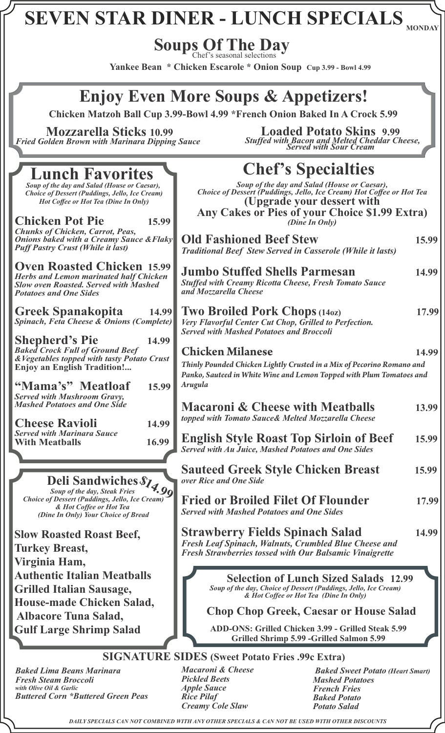#### **MONDAY SEVEN STAR DINER - LUNCH SPECIALS**

#### **Soups Of The Day** Chef's seasonal selections

**Yankee Bean \* Chicken Escarole \* Onion Soup Cup 3.99 - Bowl 4.99**

## **Enjoy Even More Soups & Appetizers!**

 **Chicken Matzoh Ball Cup 3.99-Bowl 4.99 \*French Onion Baked In A Crock 5.99**

**Mozzarella Sticks 10.99** *Fried Golden Brown with Marinara Dipping Sauce*

#### **Loaded Potato Skins 9.99** *Stuffed with Bacon and Melted Cheddar Cheese, Served with Sour Cream*

| <b>Lunch Favorites</b>                                                                                                                                              | <b>Chef's Specialties</b>                                                                                                                                                                            |       |
|---------------------------------------------------------------------------------------------------------------------------------------------------------------------|------------------------------------------------------------------------------------------------------------------------------------------------------------------------------------------------------|-------|
| Soup of the day and Salad (House or Caesar),<br><b>Choice of Dessert (Puddings, Jello, Ice Cream)</b><br><b>Hot Coffee or Hot Tea (Dine In Only)</b>                | Soup of the day and Salad (House or Caesar),<br>Choice of Dessert (Puddings, Jello, Ice Cream) Hot Coffee or Hot Tea<br>(Upgrade your dessert with<br>Any Cakes or Pies of your Choice \$1.99 Extra) |       |
| <b>Chicken Pot Pie</b><br>15.99                                                                                                                                     | (Dine In Only)                                                                                                                                                                                       |       |
| <b>Chunks of Chicken, Carrot, Peas,</b><br><b>Onions baked with a Creamy Sauce &amp; Flaky</b><br><b>Puff Pastry Crust (While it last)</b>                          | <b>Old Fashioned Beef Stew</b><br><b>Traditional Beef Stew Served in Casserole (While it lasts)</b>                                                                                                  | 15.99 |
| <b>Oven Roasted Chicken 15.99</b><br><b>Herbs and Lemon marinated half Chicken</b><br><b>Slow oven Roasted. Served with Mashed</b><br><b>Potatoes and One Sides</b> | <b>Jumbo Stuffed Shells Parmesan</b><br><b>Stuffed with Creamy Ricotta Cheese, Fresh Tomato Sauce</b><br>and Mozzarella Cheese                                                                       | 14.99 |
| <b>Greek Spanakopita</b><br>14.99<br><b>Spinach, Feta Cheese &amp; Onions (Complete)</b>                                                                            | <b>Two Broiled Pork Chops (140z)</b><br>Very Flavorful Center Cut Chop, Grilled to Perfection.<br><b>Served with Mashed Potatoes and Broccoli</b>                                                    | 17.99 |
| <b>Shepherd's Pie</b><br>14.99<br><b>Baked Crock Full of Ground Beef</b>                                                                                            | <b>Chicken Milanese</b>                                                                                                                                                                              | 14.99 |
| & Vegetables topped with tasty Potato Crust<br><b>Enjoy an English Tradition!</b>                                                                                   | Thinly Pounded Chicken Lightly Crusted in a Mix of Pecorino Romano and                                                                                                                               |       |
| "Mama's" Meatloaf<br>15.99                                                                                                                                          | Panko, Sauteed in White Wine and Lemon Topped with Plum Tomatoes and<br>Arugula                                                                                                                      |       |
| <b>Served with Mushroom Gravy,</b>                                                                                                                                  |                                                                                                                                                                                                      |       |
| <b>Mashed Potatoes and One Side</b>                                                                                                                                 | <b>Macaroni &amp; Cheese with Meatballs</b><br>topped with Tomato Sauce& Melted Mozzarella Cheese                                                                                                    | 13.99 |
| <b>Cheese Ravioli</b><br>14.99<br><b>Served with Marinara Sauce</b>                                                                                                 |                                                                                                                                                                                                      |       |
| 16.99<br><b>With Meatballs</b>                                                                                                                                      | <b>English Style Roast Top Sirloin of Beef</b><br><b>Served with Au Juice, Mashed Potatoes and One Sides</b>                                                                                         | 15.99 |
| Deli Sandwiches S14.99                                                                                                                                              | <b>Sauteed Greek Style Chicken Breast</b><br>over Rice and One Side                                                                                                                                  | 15.99 |
|                                                                                                                                                                     |                                                                                                                                                                                                      |       |
| <b>Choice of Dessert (Puddings, Jello, Ice Cream)</b><br>& Hot Coffee or Hot Tea<br>(Dine In Only) Your Choice of Bread                                             | <b>Fried or Broiled Filet Of Flounder</b><br><b>Served with Mashed Potatoes and One Sides</b>                                                                                                        | 17.99 |
| <b>Slow Roasted Roast Beef,</b>                                                                                                                                     | <b>Strawberry Fields Spinach Salad</b>                                                                                                                                                               | 14.99 |
| <b>Turkey Breast,</b>                                                                                                                                               | Fresh Leaf Spinach, Walnuts, Crumbled Blue Cheese and                                                                                                                                                |       |
| Virginia Ham,                                                                                                                                                       | <b>Fresh Strawberries tossed with Our Balsamic Vinaigrette</b>                                                                                                                                       |       |
| <b>Authentic Italian Meatballs</b>                                                                                                                                  | <b>Selection of Lunch Sized Salads 12.99</b>                                                                                                                                                         |       |
| <b>Grilled Italian Sausage,</b>                                                                                                                                     | Soup of the day, Choice of Dessert (Puddings, Jello, Ice Cream)<br>& Hot Coffee or Hot Tea (Dine In Only)                                                                                            |       |
| <b>House-made Chicken Salad,</b>                                                                                                                                    | <b>Chop Chop Greek, Caesar or House Salad</b>                                                                                                                                                        |       |
| <b>Albacore Tuna Salad,</b>                                                                                                                                         | ADD-ONS: Grilled Chicken 3.99 - Grilled Steak 5.99                                                                                                                                                   |       |
| <b>Gulf Large Shrimp Salad</b>                                                                                                                                      | Grilled Shrimp 5.99 - Grilled Salmon 5.99                                                                                                                                                            |       |
|                                                                                                                                                                     | <b>SIGNATURE SIDES (Sweet Potato Fries .99c Extra)</b>                                                                                                                                               |       |

*Baked Lima Beans Marinara Fresh Steam Broccoli with Olive Oil & Garlic Buttered Corn \*Buttered Green Peas*

*Macaroni & Cheese Pickled Beets Apple Sauce Rice Pilaf Creamy Cole Slaw*

 *Baked Sweet Potato (Heart Smart) Mashed Potatoes French Fries Baked Potato Potato Salad*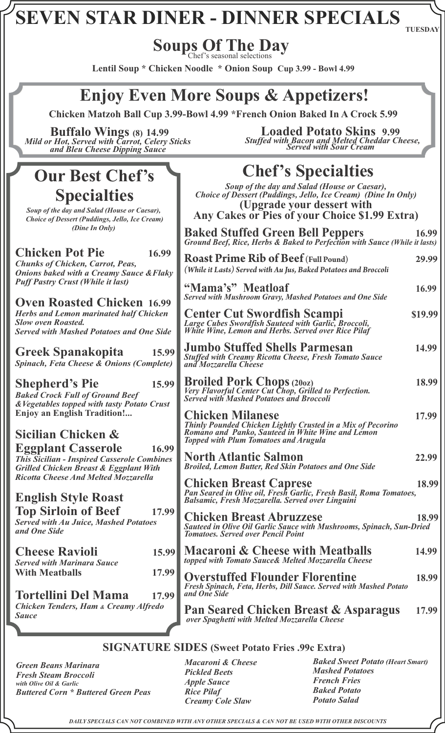**TUESDAY**

#### **Soups Of The Day** Chef's seasonal selections

**Lentil Soup \* Chicken Noodle \* Onion Soup Cup 3.99 - Bowl 4.99**

### **Enjoy Even More Soups & Appetizers!**

 **Chicken Matzoh Ball Cup 3.99-Bowl 4.99 \*French Onion Baked In A Crock 5.99**

 **Buffalo Wings (8) 14.99** *Mild or Hot, Served with Carrot, Celery Sticks and Bleu Cheese Dipping Sauce*

### **Our Best Chef's Specialties**

*Soup of the day and Salad (House or Caesar), Choice of Dessert (Puddings, Jello, Ice Cream) (Dine In Only)*

#### **Chicken Pot Pie** 16. *Chunks of Chicken, Carrot, Peas, Onions baked with a Creamy Sauce &Flaky Puff Pastry Crust (While it last)*

**Oven Roasted Chicken** 16.9 *Herbs and Lemon marinated half Chicken Slow oven Roasted.*  **Served with Mashed Potatoes and One Side** 

**Greek Spanakopita 15.99 Spinach, Feta Cheese & Onions (Complete)** 

**Shepherd's Pie 15** *Baked Crock Full of Ground Beef*   $\&V$ egetables topped with tasty Potato Cru **Enjoy an English Tradition!...**

**Sicilian Chicken & Eggplant Casserole This Sicilian - Inspired Casserole Combing** *Grilled Chicken Breast & Eggplant With Ricotta Cheese And Melted Mozzarella*

#### **English Style Roast Top Sirloin of Beef 17** *Served with Au Juice, Mashed Potatoes*

*and One Side* 

| <b>Cheese Ravioli</b>             | 15.99 |
|-----------------------------------|-------|
| <b>Served with Marinara Sauce</b> |       |
| <b>With Meathalls</b>             | 17.99 |

**Tortellini Del Mama 17.99** *Chicken Tenders, Ham & Creamy Alfredo Sauce* 

**Loaded Potato Skins 9.99** *Stuffed with Bacon and Melted Cheddar Cheese, Served with Sour Cream*

# **Chef's Specialties**

*Soup of the day and Salad (House or Caesar), Choice of Dessert (Puddings, Jello, Ice Cream) (Dine In Only)* **(Upgrade your dessert with Any Cakes or Pies of your Choice \$1.99 Extra)**

| ,                       |                                                                                                                                                                                             |         |
|-------------------------|---------------------------------------------------------------------------------------------------------------------------------------------------------------------------------------------|---------|
|                         | <b>Baked Stuffed Green Bell Peppers</b> 16.99<br>Ground Beef, Rice, Herbs & Baked to Perfection with Sauce (While it lasts)                                                                 | 16.99   |
| 99<br>aky               | <b>Roast Prime Rib of Beef (Full Pound)</b><br>(While it Lasts) Served with Au Jus, Baked Potatoes and Broccoli                                                                             | 29.99   |
| 99                      | "Mama's" Meatloaf<br><b>Served with Mushroom Gravy, Mashed Potatoes and One Side</b>                                                                                                        | 16.99   |
| 2n<br>ide               | <b>Center Cut Swordfish Scampi</b><br>Large Cubes Swordfish Sauteed with Garlic, Broccoli,<br>White Wine, Lemon and Herbs. Served over Rice Pilaf                                           | \$19.99 |
| .99<br>ete)             | <b>Jumbo Stuffed Shells Parmesan</b><br><b>Stuffed with Creamy Ricotta Cheese, Fresh Tomato Sauce</b><br>and Mozzarella Cheese                                                              | 14.99   |
| .99<br>ist              | <b>Broiled Pork Chops (2007)</b><br><i>Very Flavorful Center Cut Chop, Grilled to Perfection.</i><br><i>Served with Mashed Potatoes and Broccoli</i>                                        | 18.99   |
|                         | <b>Chicken Milanese</b><br>Thinly Pounded Chicken Lightly Crusted in a Mix of Pecorino<br>Romano and Panko, Sauteed in White Wine and Lemon<br><b>Topped with Plum Tomatoes and Arugula</b> | 17.99   |
| .99<br>nes              | <b>North Atlantic Salmon</b><br><b>Broiled, Lemon Butter, Red Skin Potatoes and One Side</b>                                                                                                | 22.99   |
|                         | <b>Chicken Breast Caprese</b><br>Pan Seared in Olive oil, Fresh Garlic, Fresh Basil, Roma Tomatoes,<br><b>Balsamic, Fresh Mozzarella. Served over Linguini</b>                              | 18.99   |
| .99                     | <b>Chicken Breast Abruzzese</b><br>Sauteed in Olive Oil Garlic Sauce with Mushrooms, Spinach, Sun-Dried<br><b>Tomatoes. Served over Pencil Point</b>                                        | 18.99   |
| ,99                     | <b>Macaroni &amp; Cheese with Meatballs</b><br>topped with Tomato Sauce& Melted Mozzarella Cheese                                                                                           | 14.99   |
| .99<br>.99              | <b>Overstuffed Flounder Florentine</b><br>Fresh Spinach, Feta, Herbs, Dill Sauce. Served with Mashed Potato<br>and One Side                                                                 | 18.99   |
| $\overline{\mathbf{z}}$ | <b>Pan Seared Chicken Breast &amp; Asparagus</b><br>over Spaghetti with Melted Mozzarella Cheese                                                                                            | 17.99   |
|                         |                                                                                                                                                                                             |         |

#### **SIGNATURE SIDES (Sweet Potato Fries .99c Extra)**

*Green Beans Marinara Fresh Steam Broccoli with Olive Oil & Garlic Buttered Corn \* Buttered Green Peas* 

*Macaroni & Cheese Pickled Beets Apple Sauce Rice Pilaf Creamy Cole Slaw*

*Baked Sweet Potato (Heart Smart) Mashed Potatoes French Fries Baked Potato Potato Salad*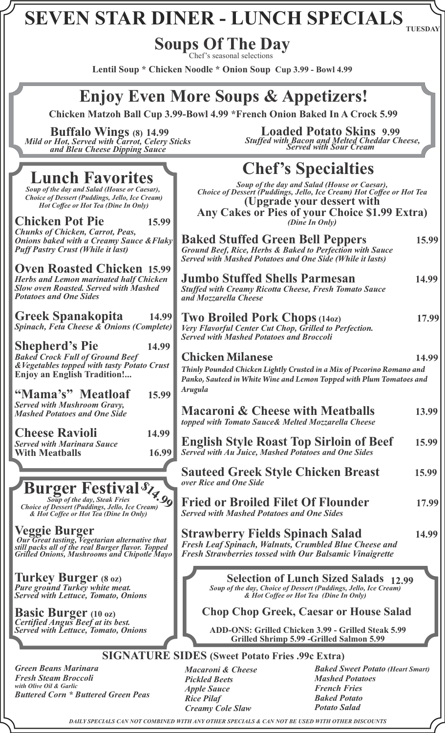#### **TUESDAY SEVEN STAR DINER - LUNCH SPECIALS**

## **Soups Of The Day**

Chef's seasonal selections

**Lentil Soup \* Chicken Noodle \* Onion Soup Cup 3.99 - Bowl 4.99**

### **Enjoy Even More Soups & Appetizers!**

 **Chicken Matzoh Ball Cup 3.99-Bowl 4.99 \*French Onion Baked In A Crock 5.99**

 **Buffalo Wings (8) 14.99** *Mild or Hot, Served with Carrot, Celery Sticks and Bleu Cheese Dipping Sauce*

**Loaded Potato Skins 9.99** *Stuffed with Bacon and Melted Cheddar Cheese, Served with Sour Cream*

#### **Baked Stuffed Green Bell Peppers 15.99** *and Mozzarella Cheese Served with Mashed Potatoes and Broccoli*  **Chicken Milanese 14.99** *Arugula over Rice and One Side Served with Mashed Potatoes and One Sides*  **Chop Chop Greek, Caesar or House Salad Lunch Favorites Veggie Burger** *Our Great tasting, Vegetarian alternative that still packs all of the real Burger flavor. Topped Grilled Onions, Mushrooms and Chipotle Mayo* **Turkey Burger (8 oz)** *Pure ground Turkey white meat. Served with Lettuce, Tomato, Onions* **Basic Burger (10 oz)** *Certified Angus Beef at its best.* **Burger Festival** *Soup of the day, Steak Fries Choice of Dessert (Puddings, Jello, Ice Cream) & Hot Coffee or Hot Tea (Dine In Only)* **\$14.99** *Soup of the day and Salad (House or Caesar), Choice of Dessert (Puddings, Jello, Ice Cream) Hot Coffee or Hot Tea (Dine In Only)* **Chicken Pot Pie 15.99** *Chunks of Chicken, Carrot, Peas, Onions baked with a Creamy Sauce &Flaky Puff Pastry Crust (While it last)* **Oven Roasted Chicken 15.99** *Herbs and Lemon marinated half Chicken Slow oven Roasted. Served with Mashed Potatoes and One Sides* **Greek Spanakopita 14.99** *Spinach, Feta Cheese & Onions (Complete)* **Shepherd's Pie 14.99** *Baked Crock Full of Ground Beef &Vegetables topped with tasty Potato Crust* **Enjoy an English Tradition!... "Mama's" Meatloaf 15.99** *Served with Mushroom Gravy, Mashed Potatoes and One Side* **Cheese Ravioli 14.99** *Served with Marinara Sauce* With Meatballs 16.99 *(Dine In Only)*

**ADD-ONS: Grilled Chicken 3.99 - Grilled Steak 5.99 Grilled Shrimp 5.99 -Grilled Salmon 5.99**

### **SIGNATURE SIDES (Sweet Potato Fries .99c Extra)**

*Green Beans Marinara Fresh Steam Broccoli with Olive Oil & Garlic Buttered Corn \* Buttered Green Peas* 

*Served with Lettuce, Tomato, Onions*

*Macaroni & Cheese Pickled Beets Apple Sauce Rice Pilaf* 

*Baked Sweet Potato (Heart Smart) Mashed Potatoes French Fries Baked Potato*

*Potato Salad Creamy Cole Slaw*

*DAILY SPECIALS CAN NOT COMBINED WITH ANY OTHER SPECIALS & CAN NOT BE USED WITH OTHER DISCOUNTS*

# **Chef's Specialties**

*Soup of the day and Salad (House or Caesar), Choice of Dessert (Puddings, Jello, Ice Cream) Hot Coffee or Hot Tea*  **(Upgrade your dessert with Any Cakes or Pies of your Choice \$1.99 Extra)**

*Ground Beef, Rice, Herbs & Baked to Perfection with Sauce Served with Mashed Potatoes and One Side (While it lasts)*

**Jumbo Stuffed Shells Parmesan****14.99** *Stuffed with Creamy Ricotta Cheese, Fresh Tomato Sauce* 

**Two Broiled Pork Chops (14oz) 17.99** *Very Flavorful Center Cut Chop, Grilled to Perfection.*

*Thinly Pounded Chicken Lightly Crusted in a Mix of Pecorino Romano and Panko, Sauteed in White Wine and Lemon Topped with Plum Tomatoes and*

| <b>Macaroni &amp; Cheese with Meatballs</b>        | 13.99 |
|----------------------------------------------------|-------|
| topped with Tomato Sauce& Melted Mozzarella Cheese |       |

**English Style Roast Top Sirloin of Beef 15.99** *Served with Au Juice, Mashed Potatoes and One Sides*

**Sauteed Greek Style Chicken Breast 15.99**

**Fried or Broiled Filet Of Flounder 17.99**

**Strawberry Fields Spinach Salad 14.99** *Fresh Leaf Spinach, Walnuts, Crumbled Blue Cheese and Fresh Strawberries tossed with Our Balsamic Vinaigrette*

> **12.99 Selection of Lunch Sized Salads**  *Soup of the day, Choice of Dessert (Puddings, Jello, Ice Cream) & Hot Coffee or Hot Tea (Dine In Only)*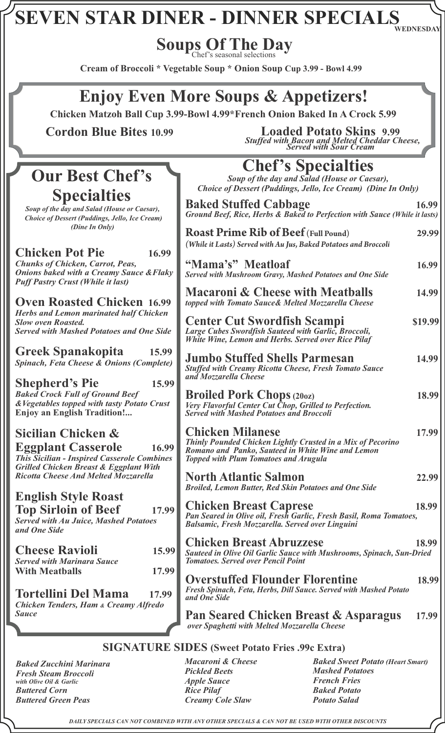**WEDNESDAY**

**Soups Of The Day** Chef's seasonal selections

**Cream of Broccoli \* Vegetable Soup \* Onion Soup Cup 3.99 - Bowl 4.99**

### **Enjoy Even More Soups & Appetizers!**

 **Chicken Matzoh Ball Cup 3.99-Bowl 4.99\*French Onion Baked In A Crock 5.99**

### **Our Best Chef's Specialties**

*Soup of the day and Salad (House or Caesar), Choice of Dessert (Puddings, Jello, Ice Cream) (Dine In Only)*

### **Chicken Pot Pie 16.99**

*Chunks of Chicken, Carrot, Peas, Onions baked with a Creamy Sauce & Flaky Puff Pastry Crust (While it last)*

**Oven Roasted Chicken 16.99** *Herbs and Lemon marinated half Chicken Slow oven Roasted. Served with Mashed Potatoes and One Side*

**Greek Spanakopita 15.99** *Spinach, Feta Cheese & Onions (Complete)*

**Shepherd's Pie 15.99** *Baked Crock Full of Ground Beef*   $&Vegetables$  topped with tasty Potato Crus **Enjoy an English Tradition!...**

**Sicilian Chicken & Eggplant Casserole****16.99** *This Sicilian - Inspired Casserole Combines Grilled Chicken Breast & Eggplant With Ricotta Cheese And Melted Mozzarella*

### **English Style Roast**

**Top Sirloin of Beef 17.99** *Served with Au Juice, Mashed Potatoes and One Side* 

| <b>Cheese Ravioli</b>             | 15.99 |
|-----------------------------------|-------|
| <b>Served with Marinara Sauce</b> |       |
| <b>With Meatballs</b>             | 17.99 |

**Tortellini Del Mama 17.99** *Chicken Tenders, Ham & Creamy Alfredo Sauce* 

 **Cordon Blue Bites 10.99 Loaded Potato Skins 9.99** *Stuffed with Bacon and Melted Cheddar Cheese, Served with Sour Cream*

## **Chef's Specialties**

*Soup of the day and Salad (House or Caesar), Choice of Dessert (Puddings, Jello, Ice Cream) (Dine In Only)*

|                                                   | <b>Baked Stuffed Cabbage</b><br>Ground Beef, Rice, Herbs & Baked to Perfection with Sauce (While it lasts)                                                                                  | 16.99   |
|---------------------------------------------------|---------------------------------------------------------------------------------------------------------------------------------------------------------------------------------------------|---------|
| 9                                                 | <b>Roast Prime Rib of Beef (Full Pound)</b><br>(While it Lasts) Served with Au Jus, Baked Potatoes and Broccoli                                                                             | 29.99   |
| ky                                                | "Mama's" Meatloaf<br>Served with Mushroom Gravy, Mashed Potatoes and One Side                                                                                                               | 16.99   |
| 9                                                 | <b>Macaroni &amp; Cheese with Meatballs</b><br>topped with Tomato Sauce& Melted Mozzarella Cheese                                                                                           | 14.99   |
| ı<br>le                                           | <b>Center Cut Swordfish Scampi</b><br>Large Cubes Swordfish Sauteed with Garlic, Broccoli,<br>White Wine, Lemon and Herbs. Served over Rice Pilaf                                           | \$19.99 |
| $\overline{9}$<br>$\mathcal{L}(\mathbf{r})$<br>99 | <b>Jumbo Stuffed Shells Parmesan</b><br><b>Stuffed with Creamy Ricotta Cheese, Fresh Tomato Sauce</b><br>and Mozzarella Cheese                                                              | 14.99   |
| st.                                               | <b>Broiled Pork Chops (200z)</b><br>Very Flavorful Center Cut Chop, Grilled to Perfection.<br><b>Served with Mashed Potatoes and Broccoli</b>                                               | 18.99   |
| 99<br>es                                          | <b>Chicken Milanese</b><br>Thinly Pounded Chicken Lightly Crusted in a Mix of Pecorino<br>Romano and Panko, Sauteed in White Wine and Lemon<br><b>Topped with Plum Tomatoes and Arugula</b> | 17.99   |
|                                                   | <b>North Atlantic Salmon</b><br><b>Broiled, Lemon Butter, Red Skin Potatoes and One Side</b>                                                                                                | 22.99   |
| 99                                                | <b>Chicken Breast Caprese</b><br>Pan Seared in Olive oil, Fresh Garlic, Fresh Basil, Roma Tomatoes,<br><b>Balsamic, Fresh Mozzarella. Served over Linguini</b>                              | 18.99   |
| 99                                                | <b>Chicken Breast Abruzzese</b><br>Sauteed in Olive Oil Garlic Sauce with Mushrooms, Spinach, Sun-Dried<br><b>Tomatoes. Served over Pencil Point</b>                                        | 18.99   |
| 99<br>$\overline{9}$                              | <b>Overstuffed Flounder Florentine</b><br>Fresh Spinach, Feta, Herbs, Dill Sauce. Served with Mashed Potato<br>and One Side                                                                 | 18.99   |
|                                                   | <b>Pan Seared Chicken Breast &amp; Asparagus</b><br>over Spaghetti with Melted Mozzarella Cheese                                                                                            | 17.99   |

#### **SIGNATURE SIDES (Sweet Potato Fries .99c Extra)**

*Baked Zucchini Marinara Fresh Steam Broccoli with Olive Oil & Garlic Buttered Corn Buttered Green Peas* 

*Macaroni & Cheese Pickled Beets Apple Sauce Rice Pilaf Creamy Cole Slaw*

*Baked Sweet Potato (Heart Smart) Mashed Potatoes French Fries Baked Potato Potato Salad*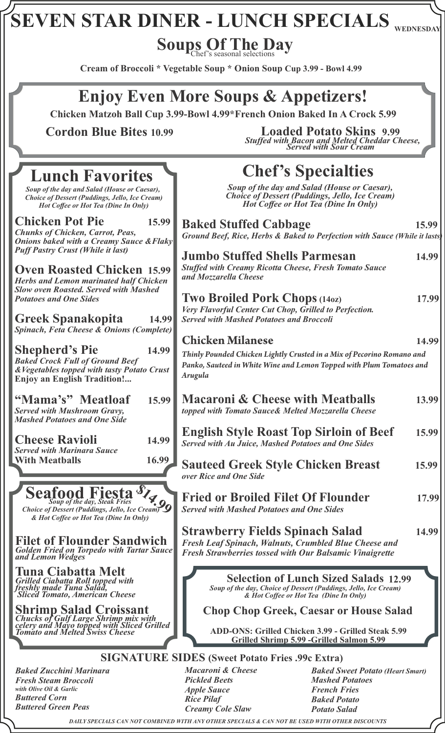# $\overline{\textbf{SEVEN} \ \textbf{STAR} \ \textbf{DINER} - \textbf{LUNCH} \ \textbf{SPECIALS} }$  wednesday

Soups Of The Day

**Cream of Broccoli \* Vegetable Soup \* Onion Soup Cup 3.99 - Bowl 4.99**

### **Enjoy Even More Soups & Appetizers!**

 **Chicken Matzoh Ball Cup 3.99-Bowl 4.99\*French Onion Baked In A Crock 5.99**

 **Cordon Blue Bites 10.99**

**Loaded Potato Skins 9.99** *Stuffed with Bacon and Melted Cheddar Cheese, Served with Sour Cream*

#### **Chef's Specialties Chop Chop Greek, Caesar or House Salad 12.99 Selection of Lunch Sized Salads SIGNATURE SIDES (Sweet Potato Fries .99c Extra) Lunch Favorites ADD-ONS: Grilled Chicken 3.99 - Grilled Steak 5.99 Grilled Shrimp 5.99 -Grilled Salmon 5.99 Baked Stuffed Cabbage 15.99** *Ground Beef, Rice, Herbs & Baked to Perfection with Sauce (While it lasts)* **Jumbo Stuffed Shells Parmesan****14.99** *Stuffed with Creamy Ricotta Cheese, Fresh Tomato Sauce and Mozzarella Cheese*  **Two Broiled Pork Chops (14oz) 17.99** *Very Flavorful Center Cut Chop, Grilled to Perfection. Served with Mashed Potatoes and Broccoli*  **Chicken Milanese 14.99** *Thinly Pounded Chicken Lightly Crusted in a Mix of Pecorino Romano and Panko, Sauteed in White Wine and Lemon Topped with Plum Tomatoes and Arugula* **Macaroni & Cheese with Meatballs 13.99**  *topped with Tomato Sauce& Melted Mozzarella Cheese*  **English Style Roast Top Sirloin of Beef 15.99** *Served with Au Juice, Mashed Potatoes and One Sides* **Sauteed Greek Style Chicken Breast 15.99** *over Rice and One Side* **Fried or Broiled Filet Of Flounder 17.99** *Served with Mashed Potatoes and One Sides* **Strawberry Fields Spinach Salad 14.99** *Fresh Leaf Spinach, Walnuts, Crumbled Blue Cheese and Fresh Strawberries tossed with Our Balsamic Vinaigrette*  **Filet of Flounder Sandwich** *Golden Fried on Torpedo with Tartar Sauce and Lemon Wedges*  **Tuna Ciabatta Melt** *Grilled Ciabatta Roll topped with freshly made Tuna Salad, Sliced Tomato, American Cheese* **Shrimp Salad Croissant**  *Chucks of Gulf Large Shrimp mix with celery and Mayo topped with Sliced Grilled Tomato and Melted Swiss Cheese Soup of the day, Steak Fries*  **Seafood Fiesta**<sup>\$1</sup>4.99<br>*Choice of Dessert (Puddings, Jello, Ice Cream) & Hot Coffee or Hot Tea (Dine In Only) Soup of the day and Salad (House or Caesar), Choice of Dessert (Puddings, Jello, Ice Cream) Hot Coffee or Hot Tea (Dine In Only) Soup of the day and Salad (House or Caesar), Choice of Dessert (Puddings, Jello, Ice Cream) Hot Coffee or Hot Tea (Dine In Only) Soup of the day, Choice of Dessert (Puddings, Jello, Ice Cream) & Hot Coffee or Hot Tea (Dine In Only)*  **Chicken Pot Pie 15.99** *Chunks of Chicken, Carrot, Peas, Onions baked with a Creamy Sauce &Flaky Puff Pastry Crust (While it last)* **Oven Roasted Chicken 15.99** *Herbs and Lemon marinated half Chicken Slow oven Roasted. Served with Mashed Potatoes and One Sides* **Greek Spanakopita 14.99** *Spinach, Feta Cheese & Onions (Complete)* **Shepherd's Pie 14.99** *Baked Crock Full of Ground Beef &Vegetables topped with tasty Potato Crust* **Enjoy an English Tradition!... "Mama's" Meatloaf 15.99** *Served with Mushroom Gravy, Mashed Potatoes and One Side* **Cheese Ravioli 14.99** *Served with Marinara Sauce* **With Meatballs****16.99**

*Baked Zucchini Marinara Fresh Steam Broccoli with Olive Oil & Garlic Buttered Corn Buttered Green Peas*

*Macaroni & Cheese Pickled Beets Apple Sauce Rice Pilaf Creamy Cole Slaw*

*Baked Sweet Potato (Heart Smart) Mashed Potatoes French Fries Baked Potato Potato Salad*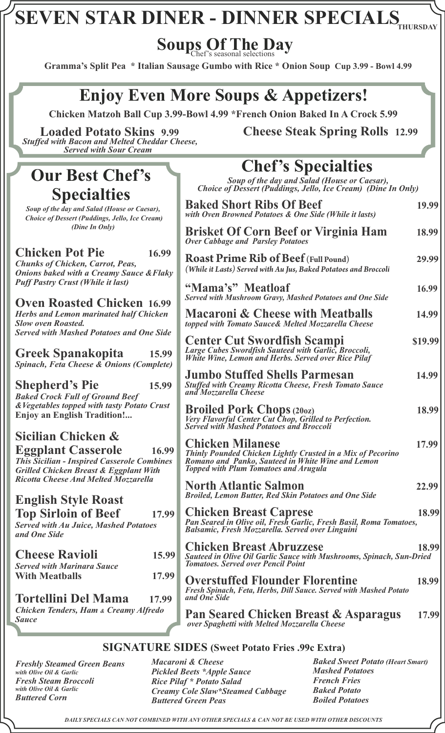Soups Of The Day

**Gramma's Split Pea \* Italian Sausage Gumbo with Rice \* Onion Soup Cup 3.99 - Bowl 4.99**

### **Enjoy Even More Soups & Appetizers!**

 **Chicken Matzoh Ball Cup 3.99-Bowl 4.99 \*French Onion Baked In A Crock 5.99**

**Loaded Potato Skins 9.99** *Stuffed with Bacon and Melted Cheddar Cheese, Served with Sour Cream*

### **Our Best Chef's Specialties**

*Soup of the day and Salad (House or Caesar), Choice of Dessert (Puddings, Jello, Ice Cream) (Dine In Only)*

#### **Chicken Pot Pie 16.99** *Chunks of Chicken, Carrot, Peas,*

*Onions baked with a Creamy Sauce &Flaky Puff Pastry Crust (While it last)*

**Oven Roasted Chicken 16.99** *Herbs and Lemon marinated half Chicken Slow oven Roasted. Served with Mashed Potatoes and One Side*

**Greek Spanakopita 15.99** *Spinach, Feta Cheese & Onions (Complete)*

**Shepherd's Pie 15.99** *Baked Crock Full of Ground Beef &Vegetables topped with tasty Potato Crust* **Enjoy an English Tradition!...**

#### **Sicilian Chicken & Eggplant Casserole****16.99** *This Sicilian - Inspired Casserole Combines Grilled Chicken Breast & Eggplant With Ricotta Cheese And Melted Mozzarella*

### **English Style Roast**

**Top Sirloin of Beef 17.99** *Served with Au Juice, Mashed Potatoes and One Side* 

| 15.99 |
|-------|
|       |
| 17.99 |
|       |

**Tortellini Del Mama 17.99** *Chicken Tenders, Ham & Creamy Alfredo Sauce* 

**Cheese Steak Spring Rolls 12.99**

#### **Baked Short Ribs Of Beef 19.99** *with Oven Browned Potatoes & One Side (While it lasts)* **Brisket Of Corn Beef or Virginia Ham 18.99** *Over Cabbage and Parsley Potatoes* **Roast Prime Rib of Beef (Full Pound) 29.99** *(While it Lasts) Served with Au Jus, Baked Potatoes and Broccoli* **"Mama's" Meatloaf 16.99** *Served with Mushroom Gravy, Mashed Potatoes and One Side* **Macaroni & Cheese with Meatballs 14.99**  *topped with Tomato Sauce& Melted Mozzarella Cheese*  **Center Cut Swordfish Scampi \$19.99** *Large Cubes Swordfish Sauteed with Garlic, Broccoli, White Wine, Lemon and Herbs. Served over Rice Pilaf*  **Jumbo Stuffed Shells Parmesan****14.99** *Stuffed with Creamy Ricotta Cheese, Fresh Tomato Sauce and Mozzarella Cheese*  **Broiled Pork Chops (20oz) 18.99** *Very Flavorful Center Cut Chop, Grilled to Perfection. Served with Mashed Potatoes and Broccoli*  **Chicken Milanese 17.99** *Thinly Pounded Chicken Lightly Crusted in a Mix of Pecorino Romano and Panko, Sauteed in White Wine and Lemon Topped with Plum Tomatoes and Arugula* **North Atlantic Salmon 22.99** *Broiled, Lemon Butter, Red Skin Potatoes and One Side* **Chicken Breast Caprese 18.99** *Pan Seared in Olive oil, Fresh Garlic, Fresh Basil, Roma Tomatoes, Balsamic, Fresh Mozzarella. Served over Linguini*  **Chicken Breast Abruzzese 18.99** *Sauteed in Olive Oil Garlic Sauce with Mushrooms, Spinach, Sun-Dried Tomatoes. Served over Pencil Point*  **Overstuffed Flounder Florentine 18.99** *Fresh Spinach, Feta, Herbs, Dill Sauce. Served with Mashed Potato and One Side* **Pan Seared Chicken Breast & Asparagus 17.99** *over Spaghetti with Melted Mozzarella Cheese*  **Chef's Specialties** *Soup of the day and Salad (House or Caesar), Choice of Dessert (Puddings, Jello, Ice Cream) (Dine In Only)*

#### **SIGNATURE SIDES (Sweet Potato Fries .99c Extra)**

*Freshly Steamed Green Beans with Olive Oil & Garlic Fresh Steam Broccoli with Olive Oil & Garlic Buttered Corn* 

*Macaroni & Cheese Pickled Beets \*Apple Sauce Rice Pilaf \* Potato Salad Creamy Cole Slaw\*Steamed Cabbage Buttered Green Peas*

*Baked Sweet Potato (Heart Smart) Mashed Potatoes French Fries Baked Potato Boiled Potatoes*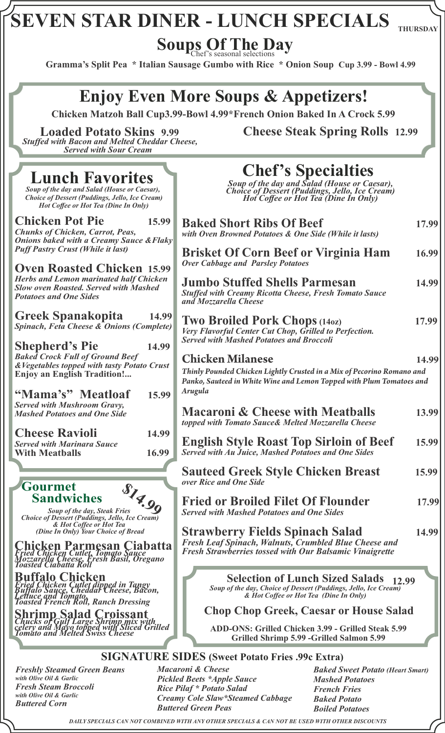# **SEVEN STAR DINER - LUNCH SPECIALS**

**THURSDAY**

Soups Of The Day

 **Gramma's Split Pea \* Italian Sausage Gumbo with Rice \* Onion Soup Cup 3.99 - Bowl 4.99**

### **Enjoy Even More Soups & Appetizers!**

 **Chicken Matzoh Ball Cup3.99-Bowl 4.99\*French Onion Baked In A Crock 5.99**

*Stuffed with Bacon and Melted Cheddar Cheese, Served with Sour Cream*

### **Loaded Potato Skins 9.99 Cheese Steak Spring Rolls 12.99**

| <b>Lunch Favorites</b><br>Soup of the day and Salad (House or Caesar),<br>Choice of Dessert (Puddings, Jello, Ice Cream)<br>Hot Coffee or Hot Tea (Dine In Only)                                      | <b>Chef's Specialties</b><br>Soup of the day and Salad (House or Caesar),<br>Choice of Dessert (Puddings, Jello, Ice Cream)<br>Hot Coffee or Hot Tea (Dine In Only)                           |
|-------------------------------------------------------------------------------------------------------------------------------------------------------------------------------------------------------|-----------------------------------------------------------------------------------------------------------------------------------------------------------------------------------------------|
| <b>Chicken Pot Pie</b><br>15.99<br><b>Chunks of Chicken, Carrot, Peas,</b><br><b>Onions baked with a Creamy Sauce &amp; Flaky</b>                                                                     | <b>Baked Short Ribs Of Beef</b><br>17.99<br>with Oven Browned Potatoes & One Side (While it lasts)                                                                                            |
| <b>Puff Pastry Crust (While it last)</b>                                                                                                                                                              | <b>Brisket Of Corn Beef or Virginia Ham</b><br>16.99<br><b>Over Cabbage and Parsley Potatoes</b>                                                                                              |
| <b>Oven Roasted Chicken 15.99</b><br><b>Herbs and Lemon marinated half Chicken</b><br><b>Slow oven Roasted. Served with Mashed</b><br><b>Potatoes and One Sides</b>                                   | <b>Jumbo Stuffed Shells Parmesan</b><br>14.99<br><b>Stuffed with Creamy Ricotta Cheese, Fresh Tomato Sauce</b><br>and Mozzarella Cheese                                                       |
| <b>Greek Spanakopita</b><br>14.99<br><b>Spinach, Feta Cheese &amp; Onions (Complete)</b><br><b>Shepherd's Pie</b><br>14.99                                                                            | <b>Two Broiled Pork Chops (1402)</b><br>17.99<br>Very Flavorful Center Cut Chop, Grilled to Perfection.<br><b>Served with Mashed Potatoes and Broccoli</b>                                    |
| <b>Baked Crock Full of Ground Beef</b><br>& Vegetables topped with tasty Potato Crust<br><b>Enjoy an English Tradition!</b><br>"Mama's" Meatloaf<br>15.99                                             | <b>Chicken Milanese</b><br>14.99<br>Thinly Pounded Chicken Lightly Crusted in a Mix of Pecorino Romano and<br>Panko, Sauteed in White Wine and Lemon Topped with Plum Tomatoes and<br>Arugula |
| <b>Served with Mushroom Gravy,</b><br><b>Mashed Potatoes and One Side</b>                                                                                                                             | <b>Macaroni &amp; Cheese with Meatballs</b><br>13.99<br>topped with Tomato Sauce& Melted Mozzarella Cheese                                                                                    |
| <b>Cheese Ravioli</b><br>14.99<br><b>Served with Marinara Sauce</b><br>16.99<br><b>With Meatballs</b>                                                                                                 | <b>English Style Roast Top Sirloin of Beef</b><br>15.99<br>Served with Au Juice, Mashed Potatoes and One Sides                                                                                |
| Gourmet                                                                                                                                                                                               | <b>Sauteed Greek Style Chicken Breast</b><br>15.99<br>over Rice and One Side                                                                                                                  |
| S14.99<br><b>Sandwiches</b><br>Soup of the day, Steak Fries<br><b>Choice of Dessert (Puddings, Jello, Ice Cream)</b>                                                                                  | <b>Fried or Broiled Filet Of Flounder</b><br>17.99<br><b>Served with Mashed Potatoes and One Sides</b>                                                                                        |
| & Hot Coffee or Hot Tea<br>(Dine In Only) Your Choice of Bread<br>Chicken Parmesan Ciabatta<br>Fried Chicken Cutlet, Tomato Sauce<br>Mozzarella Cheese, Fresh Basil, Oregano<br>Toasted Ciabatta Roll | <b>Strawberry Fields Spinach Salad</b><br>14.99<br>Fresh Leaf Spinach, Walnuts, Crumbled Blue Cheese and<br><b>Fresh Strawberries tossed with Our Balsamic Vinaigrette</b>                    |
| <b>Buffalo Chicken</b><br>Fried Chicken Cutlet dipped in Tangy<br>Buffalo Sayce, Cheddar Cheese, Bacon,<br>Lettuce and Tomato,<br>Toasted French Roll, Ranch Dressing                                 | <b>Selection of Lunch Sized Salads</b><br>12.99<br>Soup of the day, Choice of Dessert (Puddings, Jello, Ice Cream)<br>& Hot Coffee or Hot Tea (Dine In Only)                                  |
| <b>Shrimp Salad Croissant</b><br><b>Chucks of Gulf Large Shrimp mix with<br/>celery and Mayo topped with Sliced Grilled</b><br>Tomato and Melted Swiss Cheese                                         | <b>Chop Chop Greek, Caesar or House Salad</b><br>ADD-ONS: Grilled Chicken 3.99 - Grilled Steak 5.99<br>Grilled Shrimp 5.99 - Grilled Salmon 5.99                                              |

#### **SIGNATURE SIDES (Sweet Potato Fries .99c Extra)**

*Freshly Steamed Green Beans with Olive Oil & Garlic Fresh Steam Broccoli with Olive Oil & Garlic Buttered Corn* 

*Macaroni & Cheese Pickled Beets \*Apple Sauce Rice Pilaf \* Potato Salad Creamy Cole Slaw\*Steamed Cabbage Buttered Green Peas* 

*Baked Sweet Potato (Heart Smart) Mashed Potatoes French Fries Baked Potato Boiled Potatoes*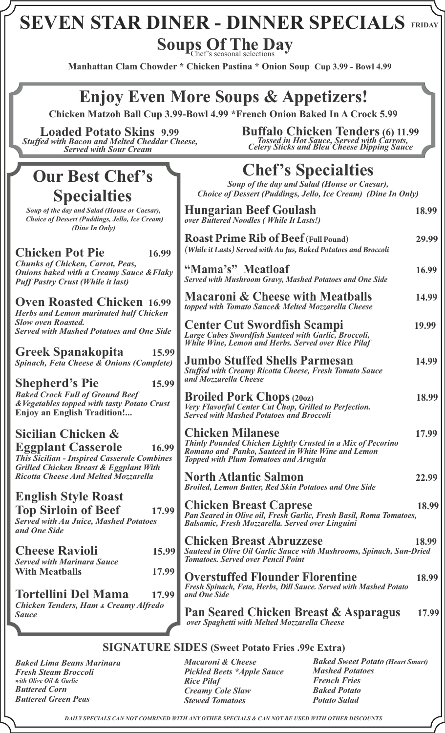Soups Of The Day

**Manhattan Clam Chowder \* Chicken Pastina \* Onion Soup Cup 3.99 - Bowl 4.99**

### **Enjoy Even More Soups & Appetizers!**

 **Chicken Matzoh Ball Cup 3.99-Bowl 4.99 \*French Onion Baked In A Crock 5.99**

**Loaded Potato Skins 9.99** *Stuffed with Bacon and Melted Cheddar Cheese, Served with Sour Cream*

### **Our Best Chef's Specialties**

*Soup of the day and Salad (House or Caesar), Choice of Dessert (Puddings, Jello, Ice Cream) (Dine In Only)*

#### **Chicken Pot Pie** 16.99

*Chunks of Chicken, Carrot, Peas, Onions baked with a Creamy Sauce & Flak Puff Pastry Crust (While it last)*

**Oven Roasted Chicken 16.99** *Herbs and Lemon marinated half Chicken Slow oven Roasted. Served with Mashed Potatoes and One Side*

**Greek Spanakopita 15.99 Spinach, Feta Cheese & Onions (Complet** 

**Shepherd's Pie 15.99**

*Baked Crock Full of Ground Beef*   $\&V$ egetables topped with tasty Potato Crus **Enjoy an English Tradition!...**

### **Sicilian Chicken &**

**Eggplant Casserole****16.99** *This Sicilian - Inspired Casserole Combines Grilled Chicken Breast & Eggplant With Ricotta Cheese And Melted Mozzarella*

#### **English Style Roast**

**Top Sirloin of Beef 17.99** *Served with Au Juice, Mashed Potatoes and One Side* 

| <b>Cheese Ravioli</b>             | 15.99 |
|-----------------------------------|-------|
| <b>Served with Marinara Sauce</b> |       |
| <b>With Meathalls</b>             | 17.99 |

**Tortellini Del Mama 17.99** *Chicken Tenders, Ham & Creamy Alfredo Sauce* 

**Buffalo Chicken Tenders (6) 11.99** *Tossed in Hot Sauce, Served with Carrots, Celery Sticks and Bleu Cheese Dipping Sauce* 

## **Chef's Specialties**

*Soup of the day and Salad (House or Caesar), Choice of Dessert (Puddings, Jello, Ice Cream) (Dine In Only)*

|                | <b>Hungarian Beef Goulash</b><br>over Buttered Noodles (While It Lasts!)                                                                                                                    | 18.99 |
|----------------|---------------------------------------------------------------------------------------------------------------------------------------------------------------------------------------------|-------|
| 9              | <b>Roast Prime Rib of Beef (Full Pound)</b><br>(While it Lasts) Served with Au Jus, Baked Potatoes and Broccoli                                                                             | 29.99 |
| $k$ y          | "Mama's" Meatloaf<br><b>Served with Mushroom Gravy, Mashed Potatoes and One Side</b>                                                                                                        | 16.99 |
| 9<br>ı         | <b>Macaroni &amp; Cheese with Meatballs</b><br>topped with Tomato Sauce& Melted Mozzarella Cheese                                                                                           | 14.99 |
| le             | <b>Center Cut Swordfish Scampi</b><br>Large Cubes Swordfish Sauteed with Garlic, Broccoli,<br>White Wine, Lemon and Herbs. Served over Rice Pilaf                                           | 19.99 |
| 99<br>e)<br>99 | <b>Jumbo Stuffed Shells Parmesan</b><br><b>Stuffed with Creamy Ricotta Cheese, Fresh Tomato Sauce</b><br>and Mozzarella Cheese                                                              | 14.99 |
| ĭt             | <b>Broiled Pork Chops (2002)</b><br>Very Flavorful Center Cut Chop, Grilled to Perfection.<br><b>Served with Mashed Potatoes and Broccoli</b>                                               | 18.99 |
| 99<br>es       | <b>Chicken Milanese</b><br>Thinly Pounded Chicken Lightly Crusted in a Mix of Pecorino<br>Romano and Panko, Sauteed in White Wine and Lemon<br><b>Topped with Plum Tomatoes and Arugula</b> | 17.99 |
|                | <b>North Atlantic Salmon</b><br><b>Broiled, Lemon Butter, Red Skin Potatoes and One Side</b>                                                                                                | 22.99 |
| 99             | <b>Chicken Breast Caprese</b><br>Pan Seared in Olive oil, Fresh Garlic, Fresh Basil, Roma Tomatoes,<br>Balsamic, Fresh Mozzarella. Served over Linguini                                     | 18.99 |
| 99             | <b>Chicken Breast Abruzzese</b><br>Sauteed in Olive Oil Garlic Sauce with Mushrooms, Spinach, Sun-Dried<br><b>Tomatoes. Served over Pencil Point</b>                                        | 18.99 |
| 99<br>99       | <b>Overstuffed Flounder Florentine</b><br>Fresh Spinach, Feta, Herbs, Dill Sauce. Served with Mashed Potato<br>and One Side                                                                 | 18.99 |
|                | Pan Seared Chicken Breast & Asparagus<br>over Spaghetti with Melted Mozzarella Cheese                                                                                                       | 17.99 |

#### **SIGNATURE SIDES (Sweet Potato Fries .99c Extra)**

*Baked Lima Beans Marinara Fresh Steam Broccoli with Olive Oil & Garlic Buttered Corn Buttered Green Peas*

*Macaroni & Cheese Pickled Beets \*Apple Sauce Rice Pilaf Creamy Cole Slaw Stewed Tomatoes*

*Baked Sweet Potato (Heart Smart) Mashed Potatoes French Fries Baked Potato Potato Salad*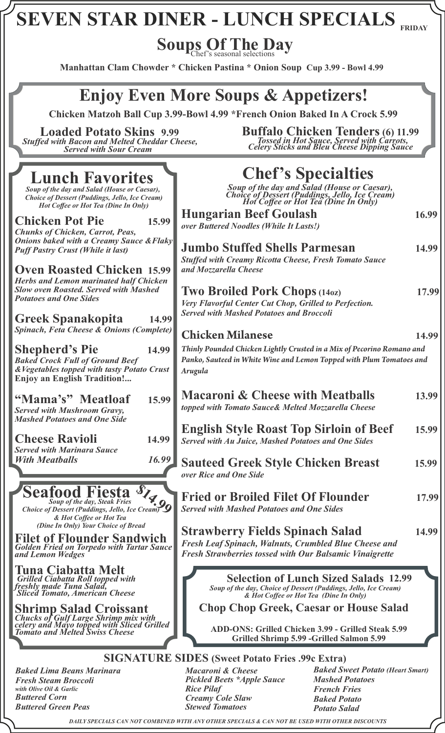# **SEVEN STAR DINER - LUNCH SPECIALS FRIDAY**

Soups Of The Day

**Manhattan Clam Chowder \* Chicken Pastina \* Onion Soup Cup 3.99 - Bowl 4.99**

### **Enjoy Even More Soups & Appetizers!**

 **Chicken Matzoh Ball Cup 3.99-Bowl 4.99 \*French Onion Baked In A Crock 5.99**

**Loaded Potato Skins 9.99** *Stuffed with Bacon and Melted Cheddar Cheese, Served with Sour Cream*

### **Lunch Favorites**

*Soup of the day and Salad (House or Caesar), Choice of Dessert (Puddings, Jello, Ice Cream) Hot Coffee or Hot Tea (Dine In Only)*

**Chicken Pot Pie** 15.9 *Chunks of Chicken, Carrot, Peas, Onions baked with a Creamy Sauce & Flakty Puff Pastry Crust (While it last)*

**Oven Roasted Chicken 15.9** *Herbs and Lemon marinated half Chicken Slow oven Roasted. Served with Mashed Potatoes and One Sides*

**Greek Spanakopita 14.99** *Spinach, Feta Cheese & Onions (Complet* 

**Shepherd's Pie 14.9** *Baked Crock Full of Ground Beef*   $&Vegetables$  topped with tasty Potato Crus **Enjoy an English Tradition!...**

**"Mama's" Meatloaf 15.99** *Served with Mushroom Gravy, Mashed Potatoes and One Side*

**Cheese Ravioli 14.99** *Served with Marinara Sauce With Meatballs* 16.9

*Soup of the day, Steak Fries Choice of Dessert (Puddings, Jello, Ice Cream)*  **Seafood Fiesta** <sup>S</sup>/<sub>4.99</sub><br>Choice of Dessert (Puddings, Jello, Ice Cream) 9

*& Hot Coffee or Hot Tea (Dine In Only) Your Choice of Bread*

**Filet of Flounder Sandwich** *Golden Fried on Torpedo with Tartar Sauce and Lemon Wedges* 

**Tuna Ciabatta Melt**  *Grilled Ciabatta Roll topped with freshly made Tuna Salad, Sliced Tomato, American Cheese*

**Shrimp Salad Croissant**  *Chucks of Gulf Large Shrimp mix with celery and Mayo topped with Sliced Grilled Tomato and Melted Swiss Cheese*

**Buffalo Chicken Tenders (6) 11.99** *Tossed in Hot Sauce, Served with Carrots, Celery Sticks and Bleu Cheese Dipping Sauce* 

|                        | <b>Chef's Specialties</b><br>Soup of the day and Salad (House or Caesar),<br>Choice of Dessert (Puddings, Jello, Ice Cream)<br>Hot Coffee or Hot Tea (Dine In Only)                                                                                                |       |
|------------------------|--------------------------------------------------------------------------------------------------------------------------------------------------------------------------------------------------------------------------------------------------------------------|-------|
| $\overline{9}$         | <b>Hungarian Beef Goulash</b><br>over Buttered Noodles (While It Lasts!)                                                                                                                                                                                           | 16.99 |
| ky<br>$\overline{9}$   | <b>Jumbo Stuffed Shells Parmesan</b><br><b>Stuffed with Creamy Ricotta Cheese, Fresh Tomato Sauce</b><br>and Mozzarella Cheese                                                                                                                                     | 14.99 |
| $\boldsymbol{p}$<br>99 | <b>Two Broiled Pork Chops (140z)</b><br>Very Flavorful Center Cut Chop, Grilled to Perfection.<br><b>Served with Mashed Potatoes and Broccoli</b>                                                                                                                  | 17.99 |
| te)                    | <b>Chicken Milanese</b>                                                                                                                                                                                                                                            | 14.99 |
| $\boldsymbol{9}$<br>st | Thinly Pounded Chicken Lightly Crusted in a Mix of Pecorino Romano and<br>Panko, Sauteed in White Wine and Lemon Topped with Plum Tomatoes and<br><b>Arugula</b>                                                                                                   |       |
| $\overline{9}$         | <b>Macaroni &amp; Cheese with Meatballs</b><br>topped with Tomato Sauce& Melted Mozzarella Cheese                                                                                                                                                                  | 13.99 |
| 9                      | <b>English Style Roast Top Sirloin of Beef</b><br><b>Served with Au Juice, Mashed Potatoes and One Sides</b>                                                                                                                                                       | 15.99 |
| 19                     | <b>Sauteed Greek Style Chicken Breast</b><br>over Rice and One Side                                                                                                                                                                                                | 15.99 |
|                        | <b>Fried or Broiled Filet Of Flounder</b><br><b>Served with Mashed Potatoes and One Sides</b>                                                                                                                                                                      | 17.99 |
| ce                     | <b>Strawberry Fields Spinach Salad</b><br>Fresh Leaf Spinach, Walnuts, Crumbled Blue Cheese and<br><b>Fresh Strawberries tossed with Our Balsamic Vinaigrette</b>                                                                                                  | 14.99 |
|                        | <b>Selection of Lunch Sized Salads 12.99</b><br>Soup of the day, Choice of Dessert (Puddings, Jello, Ice Cream)<br>& Hot Coffee or Hot Tea (Dine In Only)<br><b>Chop Chop Greek, Caesar or House Salad</b><br>ADD ONS: Crilled Chielzen 3.00 - Crilled Steelz 5.00 |       |

**ADD-ONS: Grilled Chicken 3.99 - Grilled Steak 5.99 Grilled Shrimp 5.99 -Grilled Salmon 5.99**

#### **SIGNATURE SIDES (Sweet Potato Fries .99c Extra)**

*Baked Lima Beans Marinara Fresh Steam Broccoli with Olive Oil & Garlic Buttered Corn Buttered Green Peas* 

*Macaroni & Cheese Pickled Beets \*Apple Sauce Rice Pilaf Creamy Cole Slaw Stewed Tomatoes*

*Baked Sweet Potato (Heart Smart) Mashed Potatoes French Fries Baked Potato Potato Salad*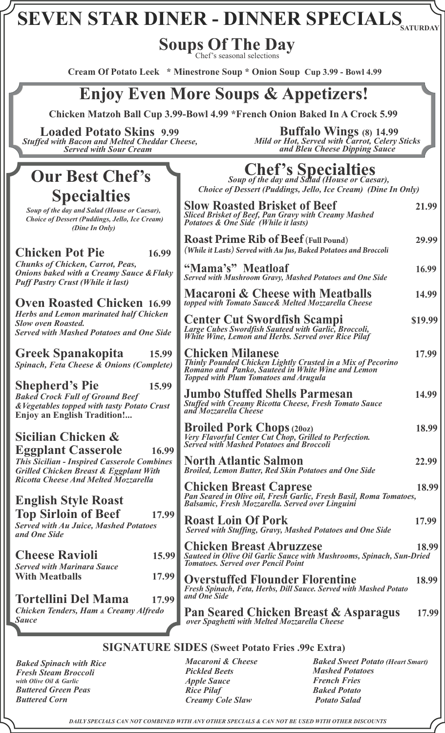**Soups Of The Day**

Chef's seasonal selections

**Cream Of Potato Leek \* Minestrone Soup \* Onion Soup Cup 3.99 - Bowl 4.99**

### **Enjoy Even More Soups & Appetizers!**

 **Chicken Matzoh Ball Cup 3.99-Bowl 4.99 \*French Onion Baked In A Crock 5.99**

**Loaded Potato Skins 9.99** *Stuffed with Bacon and Melted Cheddar Cheese, Served with Sour Cream*

### **Our Best Chef's Specialties**

*Soup of the day and Salad (House or Caesar), Choice of Dessert (Puddings, Jello, Ice Cream) (Dine In Only)*

#### **Chicken Pot Pie** 16

*Chunks of Chicken, Carrot, Peas, Onions baked with a Creamy Sauce &F. Puff Pastry Crust (While it last)*

**Oven Roasted Chicken** 16 **Herbs and Lemon marinated half Chick** *Slow oven Roasted.*  **Served with Mashed Potatoes and One S** 

**Greek Spanakopita 15.99** *Spinach, Feta Cheese & Onions (Comp.* 

**Shepherd's Pie 15.99**

*Baked Crock Full of Ground Beef*   $\&V$ egetables topped with tasty Potato Cr **Enjoy an English Tradition!...**

**Sicilian Chicken &** 

**Eggplant Casserole This Sicilian - Inspired Casserole Combanding** *Grilled Chicken Breast & Eggplant With Ricotta Cheese And Melted Mozzarella*

#### **English Style Roast**

**Top Sirloin of Beef 1** *Served with Au Juice, Mashed Potatoes and One Side* 

| <b>Cheese Ravioli</b>             | 15.99 |
|-----------------------------------|-------|
| <b>Served with Marinara Sauce</b> |       |
| <b>With Meatballs</b>             | 17.99 |

**Tortellini Del Mama 17.99** *Chicken Tenders, Ham & Creamy Alfred Sauce* 

 **Buffalo Wings (8) 14.99** *Mild or Hot, Served with Carrot, Celery Sticks and Bleu Cheese Dipping Sauce*

**Chef's Specialties** *Soup of the day and Salad (House or Caesar),*

*Choice of Dessert (Puddings, Jello, Ice Cream) (Dine In Only)*

| ),<br>n)           | <b>Slow Roasted Brisket of Beef</b><br>Sliced Brisket of Beef, Pan Gravy with Creamy Mashed<br>Potatoes & One Side (While it lasts)                                                         | 21.99   |
|--------------------|---------------------------------------------------------------------------------------------------------------------------------------------------------------------------------------------|---------|
| .99                | <b>Roast Prime Rib of Beef (Full Pound)</b><br>(While it Lasts) Served with Au Jus, Baked Potatoes and Broccoli                                                                             | 29.99   |
| 'laky              | "Mama's" Meatloaf<br><b>Served with Mushroom Gravy, Mashed Potatoes and One Side</b>                                                                                                        | 16.99   |
| .99                | <b>Macaroni &amp; Cheese with Meatballs</b><br>topped with Tomato Sauce& Melted Mozzarella Cheese                                                                                           | 14.99   |
| ken<br><b>Side</b> | <b>Center Cut Swordfish Scampi</b><br>Large Cubes Swordfish Sauteed with Garlic, Broccoli,<br>White Wine, Lemon and Herbs. Served over Rice Pilaf                                           | \$19.99 |
| 5.99<br>lete)      | <b>Chicken Milanese</b><br>Thinly Pounded Chicken Lightly Crusted in a Mix of Pecorino<br>Romano and Panko, Sauteed in White Wine and Lemon<br><b>Topped with Plum Tomatoes and Arugula</b> | 17.99   |
| 5.99<br>rust       | <b>Jumbo Stuffed Shells Parmesan</b><br><b>Stuffed with Creamy Ricotta Cheese, Fresh Tomato Sauce</b><br>and Mozzarella Cheese                                                              | 14.99   |
| 6.99               | <b>Broiled Pork Chops (2002)</b><br>Very Flavorful Center Cut Chop, Grilled to Perfection.<br><b>Served with Mashed Potatoes and Broccoli</b>                                               | 18.99   |
| ines               | <b>North Atlantic Salmon</b><br><b>Broiled, Lemon Butter, Red Skin Potatoes and One Side</b>                                                                                                | 22.99   |
|                    | <b>Chicken Breast Caprese</b><br>Pan Seared in Olive oil, Fresh Garlic, Fresh Basil, Roma Tomatoes, Balsamic, Fresh Mozzarella. Served over Linguini                                        | 18.99   |
| 7.99               | <b>Roast Loin Of Pork</b><br>Served with Stuffing, Gravy, Mashed Potatoes and One Side                                                                                                      | 17.99   |
| 5.99               | <b>Chicken Breast Abruzzese</b><br>Sauteed in Olive Oil Garlic Sauce with Mushrooms, Spinach, Sun-Dried<br><b>Tomatoes, Served over Pencil Point</b>                                        | 18.99   |
| 7.99<br>7.99       | <b>Overstuffed Flounder Florentine</b><br>Fresh Spinach, Feta, Herbs, Dill Sauce. Served with Mashed Potato<br>and One Side                                                                 | 18.99   |
| lo                 | Pan Seared Chicken Breast & Asparagus<br>over Spaghetti with Melted Mozzarella Cheese                                                                                                       | 17.99   |
|                    |                                                                                                                                                                                             |         |

#### **SIGNATURE SIDES (Sweet Potato Fries .99c Extra)**

*Baked Spinach with Rice Fresh Steam Broccoli with Olive Oil & Garlic Buttered Green Peas Buttered Corn* 

*Macaroni & Cheese Pickled Beets Apple Sauce Rice Pilaf Creamy Cole Slaw*

*Baked Sweet Potato (Heart Smart) Mashed Potatoes French Fries Baked Potato Potato Salad*